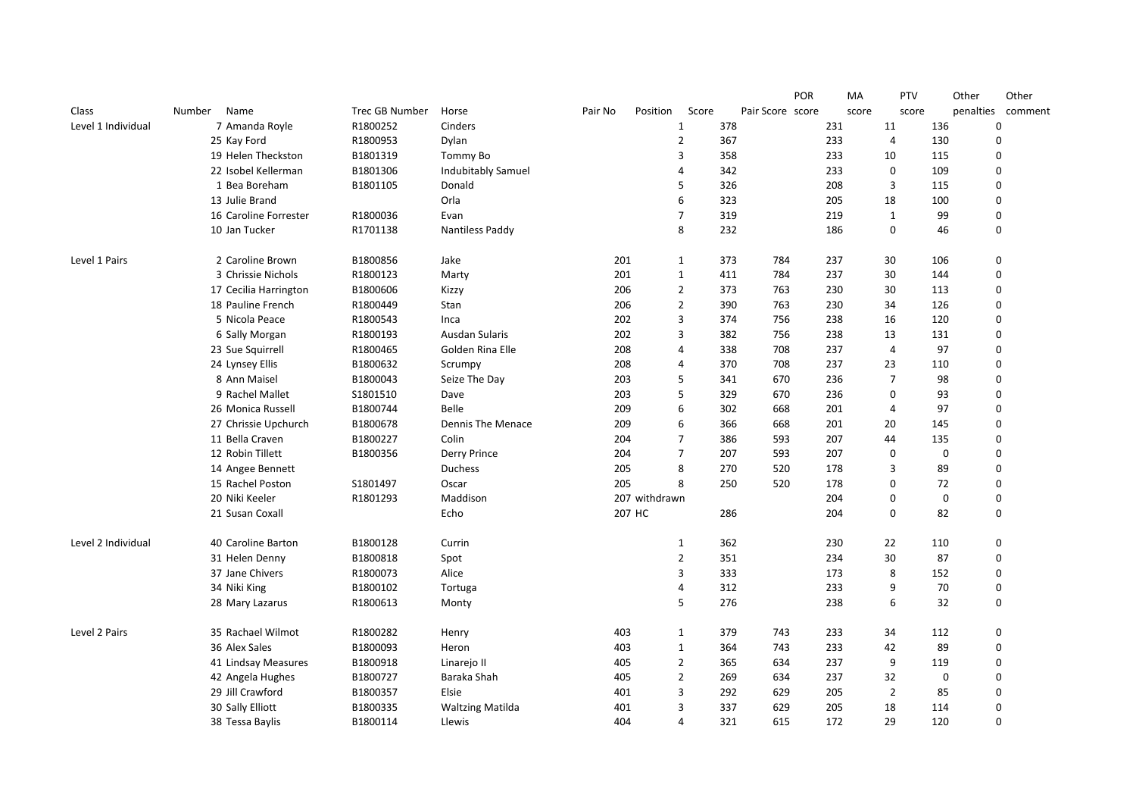|                    |                       |                |                           |         |               |                |     |                  | <b>POR</b> |     | МA    | <b>PTV</b>     |             | Other       | Other   |
|--------------------|-----------------------|----------------|---------------------------|---------|---------------|----------------|-----|------------------|------------|-----|-------|----------------|-------------|-------------|---------|
| Class              | Number Name           | Trec GB Number | Horse                     | Pair No | Position      | Score          |     | Pair Score score |            |     | score | score          |             | penalties   | comment |
| Level 1 Individual | 7 Amanda Royle        | R1800252       | Cinders                   |         |               | $\mathbf{1}$   | 378 |                  |            | 231 |       | 11             | 136         | $\mathbf 0$ |         |
|                    | 25 Kay Ford           | R1800953       | Dylan                     |         |               | $\overline{2}$ | 367 |                  |            | 233 |       | 4              | 130         | $\mathbf 0$ |         |
|                    | 19 Helen Theckston    | B1801319       | Tommy Bo                  |         |               | 3              | 358 |                  |            | 233 |       | 10             | 115         | $\Omega$    |         |
|                    | 22 Isobel Kellerman   | B1801306       | <b>Indubitably Samuel</b> |         |               | $\overline{4}$ | 342 |                  |            | 233 |       | 0              | 109         | $\mathbf 0$ |         |
|                    | 1 Bea Boreham         | B1801105       | Donald                    |         |               | 5              | 326 |                  |            | 208 |       | 3              | 115         | $\Omega$    |         |
|                    | 13 Julie Brand        |                | Orla                      |         |               | 6              | 323 |                  |            | 205 |       | 18             | 100         | $\Omega$    |         |
|                    | 16 Caroline Forrester | R1800036       | Evan                      |         |               | $\overline{7}$ | 319 |                  |            | 219 |       | 1              | 99          | $\Omega$    |         |
|                    | 10 Jan Tucker         | R1701138       | <b>Nantiless Paddy</b>    |         |               | 8              | 232 |                  |            | 186 |       | 0              | 46          | $\mathbf 0$ |         |
| Level 1 Pairs      | 2 Caroline Brown      | B1800856       | Jake                      | 201     |               | 1              | 373 | 784              |            | 237 |       | 30             | 106         | 0           |         |
|                    | 3 Chrissie Nichols    | R1800123       | Marty                     | 201     |               | 1              | 411 | 784              |            | 237 |       | 30             | 144         | 0           |         |
|                    | 17 Cecilia Harrington | B1800606       | Kizzy                     | 206     |               | $\overline{2}$ | 373 | 763              |            | 230 |       | 30             | 113         | $\mathbf 0$ |         |
|                    | 18 Pauline French     | R1800449       | Stan                      | 206     |               | $\overline{2}$ | 390 | 763              |            | 230 |       | 34             | 126         | $\Omega$    |         |
|                    | 5 Nicola Peace        | R1800543       | Inca                      | 202     |               | 3              | 374 | 756              |            | 238 |       | 16             | 120         | $\Omega$    |         |
|                    | 6 Sally Morgan        | R1800193       | Ausdan Sularis            | 202     |               | 3              | 382 | 756              |            | 238 |       | 13             | 131         | $\Omega$    |         |
|                    | 23 Sue Squirrell      | R1800465       | Golden Rina Elle          | 208     |               | 4              | 338 | 708              |            | 237 |       | 4              | 97          | $\mathbf 0$ |         |
|                    | 24 Lynsey Ellis       | B1800632       | Scrumpy                   | 208     |               | $\overline{4}$ | 370 | 708              |            | 237 |       | 23             | 110         | $\Omega$    |         |
|                    | 8 Ann Maisel          | B1800043       | Seize The Day             | 203     |               | 5              | 341 | 670              |            | 236 |       | $\overline{7}$ | 98          | $\Omega$    |         |
|                    | 9 Rachel Mallet       | S1801510       | Dave                      | 203     |               | 5              | 329 | 670              |            | 236 |       | $\mathbf 0$    | 93          | $\Omega$    |         |
|                    | 26 Monica Russell     | B1800744       | Belle                     | 209     |               | 6              | 302 | 668              |            | 201 |       | $\overline{4}$ | 97          | $\mathbf 0$ |         |
|                    | 27 Chrissie Upchurch  | B1800678       | Dennis The Menace         | 209     |               | 6              | 366 | 668              |            | 201 |       | 20             | 145         | $\Omega$    |         |
|                    | 11 Bella Craven       | B1800227       | Colin                     | 204     |               | $\overline{7}$ | 386 | 593              |            | 207 |       | 44             | 135         | $\Omega$    |         |
|                    | 12 Robin Tillett      | B1800356       | Derry Prince              | 204     |               | $\overline{7}$ | 207 | 593              |            | 207 |       | $\mathbf 0$    | $\mathbf 0$ | $\Omega$    |         |
|                    | 14 Angee Bennett      |                | <b>Duchess</b>            | 205     |               | 8              | 270 | 520              |            | 178 |       | 3              | 89          | $\Omega$    |         |
|                    | 15 Rachel Poston      | S1801497       | Oscar                     | 205     |               | 8              | 250 | 520              |            | 178 |       | $\Omega$       | 72          | $\Omega$    |         |
|                    | 20 Niki Keeler        | R1801293       | Maddison                  |         | 207 withdrawn |                |     |                  |            | 204 |       | 0              | $\mathbf 0$ | $\mathbf 0$ |         |
|                    | 21 Susan Coxall       |                | Echo                      |         | 207 HC        |                | 286 |                  |            | 204 |       | $\Omega$       | 82          | $\Omega$    |         |
| Level 2 Individual | 40 Caroline Barton    | B1800128       | Currin                    |         |               | $\mathbf{1}$   | 362 |                  |            | 230 |       | 22             | 110         | $\mathbf 0$ |         |
|                    | 31 Helen Denny        | B1800818       | Spot                      |         |               | $\overline{2}$ | 351 |                  |            | 234 |       | 30             | 87          | $\mathbf 0$ |         |
|                    | 37 Jane Chivers       | R1800073       | Alice                     |         |               | 3              | 333 |                  |            | 173 |       | 8              | 152         | $\mathbf 0$ |         |
|                    | 34 Niki King          | B1800102       | Tortuga                   |         |               | $\overline{4}$ | 312 |                  |            | 233 |       | 9              | 70          | $\mathbf 0$ |         |
|                    | 28 Mary Lazarus       | R1800613       | Monty                     |         |               | 5              | 276 |                  |            | 238 |       | 6              | 32          | $\mathbf 0$ |         |
| Level 2 Pairs      | 35 Rachael Wilmot     | R1800282       | Henry                     | 403     |               | $\mathbf{1}$   | 379 | 743              |            | 233 |       | 34             | 112         | $\mathbf 0$ |         |
|                    | 36 Alex Sales         | B1800093       | Heron                     | 403     |               | $\mathbf{1}$   | 364 | 743              |            | 233 |       | 42             | 89          | $\mathbf 0$ |         |
|                    | 41 Lindsay Measures   | B1800918       | Linarejo II               | 405     |               | $\overline{2}$ | 365 | 634              |            | 237 |       | 9              | 119         | $\mathbf 0$ |         |
|                    | 42 Angela Hughes      | B1800727       | Baraka Shah               | 405     |               | $\overline{2}$ | 269 | 634              |            | 237 |       | 32             | $\mathbf 0$ | $\mathbf 0$ |         |
|                    | 29 Jill Crawford      | B1800357       | Elsie                     | 401     |               | 3              | 292 | 629              |            | 205 |       | $\overline{2}$ | 85          | $\Omega$    |         |
|                    | 30 Sally Elliott      | B1800335       | <b>Waltzing Matilda</b>   | 401     |               | 3              | 337 | 629              |            | 205 |       | 18             | 114         | $\mathbf 0$ |         |
|                    | 38 Tessa Baylis       | B1800114       | Llewis                    | 404     |               | $\overline{4}$ | 321 | 615              |            | 172 |       | 29             | 120         | $\Omega$    |         |